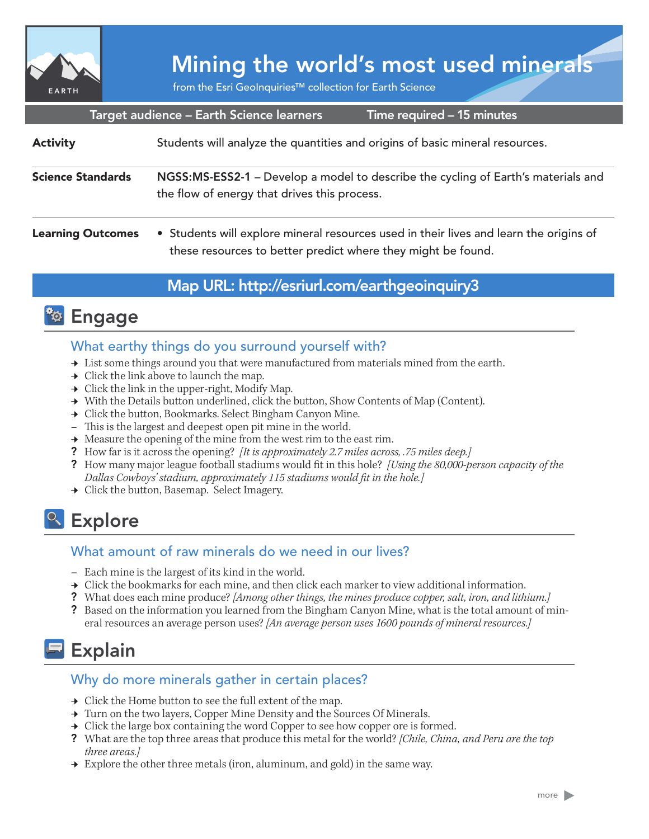

# Mining the world's most used minerals

from the Esri GeoInquiries™ collection for Earth Science

| Target audience - Earth Science learners<br>Time required - 15 minutes |                                                                                                                                                        |
|------------------------------------------------------------------------|--------------------------------------------------------------------------------------------------------------------------------------------------------|
| <b>Activity</b>                                                        | Students will analyze the quantities and origins of basic mineral resources.                                                                           |
| <b>Science Standards</b>                                               | NGSS:MS-ESS2-1 – Develop a model to describe the cycling of Earth's materials and<br>the flow of energy that drives this process.                      |
| <b>Learning Outcomes</b>                                               | • Students will explore mineral resources used in their lives and learn the origins of<br>these resources to better predict where they might be found. |

## Map URL: http://esriurl.com/earthgeoinquiry3



## What earthy things do you surround yourself with?

- $\rightarrow$  List some things around you that were manufactured from materials mined from the earth.
- $\rightarrow$  Click the link above to launch the map.
- $\rightarrow$  Click the link in the upper-right, Modify Map.
- → With the Details button underlined, click the button, Show Contents of Map (Content).
- → Click the button, Bookmarks. Select Bingham Canyon Mine.
- **–** This is the largest and deepest open pit mine in the world.
- $\rightarrow$  Measure the opening of the mine from the west rim to the east rim.
- ? How far is it across the opening? *[It is approximately 2.7 miles across, .75 miles deep.]*
- ? How many major league football stadiums would fit in this hole? *[Using the 80,000-person capacity of the Dallas Cowboys' stadium, approximately 115 stadiums would fit in the hole.]*
- ʅ Click the button, Basemap. Select Imagery.

## <sup>Q</sup> Explore

## What amount of raw minerals do we need in our lives?

- **–** Each mine is the largest of its kind in the world.
- $\rightarrow$  Click the bookmarks for each mine, and then click each marker to view additional information.
- ? What does each mine produce? *[Among other things, the mines produce copper, salt, iron, and lithium.]*
- ? Based on the information you learned from the Bingham Canyon Mine, what is the total amount of mineral resources an average person uses? *[An average person uses 1600 pounds of mineral resources.]*

## **Explain**

## Why do more minerals gather in certain places?

- $\rightarrow$  Click the Home button to see the full extent of the map.
- → Turn on the two layers, Copper Mine Density and the Sources Of Minerals.
- → Click the large box containing the word Copper to see how copper ore is formed.
- ? What are the top three areas that produce this metal for the world? *[Chile, China, and Peru are the top three areas.]*
- → Explore the other three metals (iron, aluminum, and gold) in the same way.